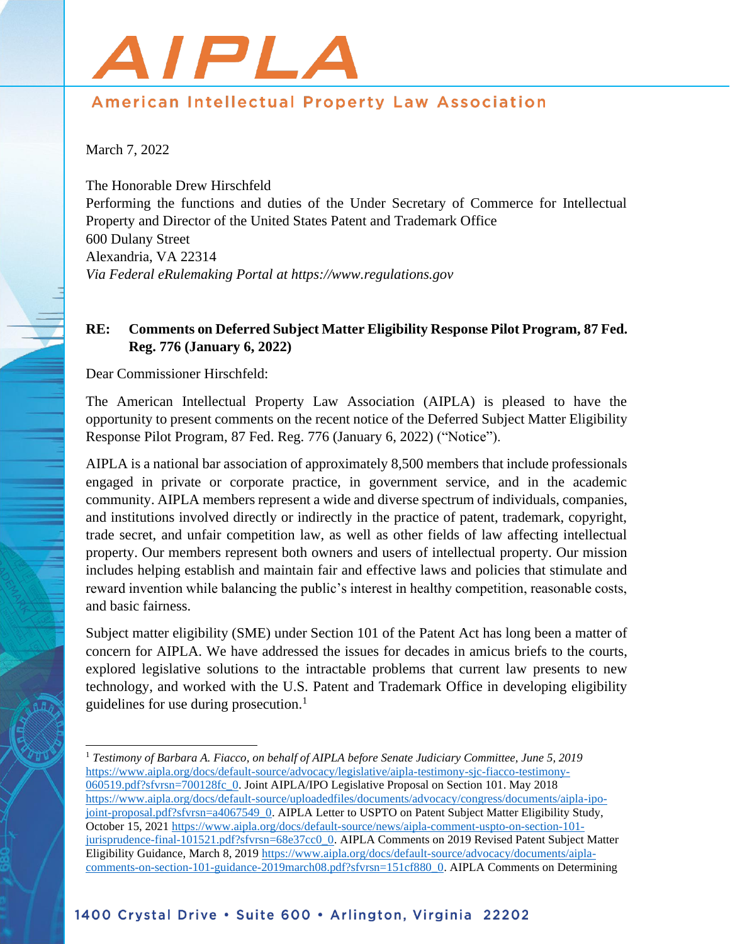## AIPL.

## American Intellectual Property Law Association

March 7, 2022

The Honorable Drew Hirschfeld Performing the functions and duties of the Under Secretary of Commerce for Intellectual Property and Director of the United States Patent and Trademark Office 600 Dulany Street Alexandria, VA 22314 *Via Federal eRulemaking Portal at https://www.regulations.gov*

## **RE: Comments on Deferred Subject Matter Eligibility Response Pilot Program, 87 Fed. Reg. 776 (January 6, 2022)**

Dear Commissioner Hirschfeld:

The American Intellectual Property Law Association (AIPLA) is pleased to have the opportunity to present comments on the recent notice of the Deferred Subject Matter Eligibility Response Pilot Program, 87 Fed. Reg. 776 (January 6, 2022) ("Notice").

AIPLA is a national bar association of approximately 8,500 members that include professionals engaged in private or corporate practice, in government service, and in the academic community. AIPLA members represent a wide and diverse spectrum of individuals, companies, and institutions involved directly or indirectly in the practice of patent, trademark, copyright, trade secret, and unfair competition law, as well as other fields of law affecting intellectual property. Our members represent both owners and users of intellectual property. Our mission includes helping establish and maintain fair and effective laws and policies that stimulate and reward invention while balancing the public's interest in healthy competition, reasonable costs, and basic fairness.

Subject matter eligibility (SME) under Section 101 of the Patent Act has long been a matter of concern for AIPLA. We have addressed the issues for decades in amicus briefs to the courts, explored legislative solutions to the intractable problems that current law presents to new technology, and worked with the U.S. Patent and Trademark Office in developing eligibility guidelines for use during prosecution.<sup>1</sup>

<sup>1</sup> *Testimony of Barbara A. Fiacco, on behalf of AIPLA before Senate Judiciary Committee, June 5, 2019*  [https://www.aipla.org/docs/default-source/advocacy/legislative/aipla-testimony-sjc-fiacco-testimony-](https://www.aipla.org/docs/default-source/advocacy/legislative/aipla-testimony-sjc-fiacco-testimony-060519.pdf?sfvrsn=700128fc_0)[060519.pdf?sfvrsn=700128fc\\_0.](https://www.aipla.org/docs/default-source/advocacy/legislative/aipla-testimony-sjc-fiacco-testimony-060519.pdf?sfvrsn=700128fc_0) Joint AIPLA/IPO Legislative Proposal on Section 101. May 2018 [https://www.aipla.org/docs/default-source/uploadedfiles/documents/advocacy/congress/documents/aipla-ipo](https://www.aipla.org/docs/default-source/uploadedfiles/documents/advocacy/congress/documents/aipla-ipo-joint-proposal.pdf?sfvrsn=a4067549_0)[joint-proposal.pdf?sfvrsn=a4067549\\_0.](https://www.aipla.org/docs/default-source/uploadedfiles/documents/advocacy/congress/documents/aipla-ipo-joint-proposal.pdf?sfvrsn=a4067549_0) AIPLA Letter to USPTO on Patent Subject Matter Eligibility Study, October 15, 2021 [https://www.aipla.org/docs/default-source/news/aipla-comment-uspto-on-section-101](https://www.aipla.org/docs/default-source/news/aipla-comment-uspto-on-section-101-jurisprudence-final-101521.pdf?sfvrsn=68e37cc0_0) [jurisprudence-final-101521.pdf?sfvrsn=68e37cc0\\_0.](https://www.aipla.org/docs/default-source/news/aipla-comment-uspto-on-section-101-jurisprudence-final-101521.pdf?sfvrsn=68e37cc0_0) AIPLA Comments on 2019 Revised Patent Subject Matter Eligibility Guidance, March 8, 201[9 https://www.aipla.org/docs/default-source/advocacy/documents/aipla](https://www.aipla.org/docs/default-source/advocacy/documents/aipla-comments-on-section-101-guidance-2019march08.pdf?sfvrsn=151cf880_0)[comments-on-section-101-guidance-2019march08.pdf?sfvrsn=151cf880\\_0.](https://www.aipla.org/docs/default-source/advocacy/documents/aipla-comments-on-section-101-guidance-2019march08.pdf?sfvrsn=151cf880_0) AIPLA Comments on Determining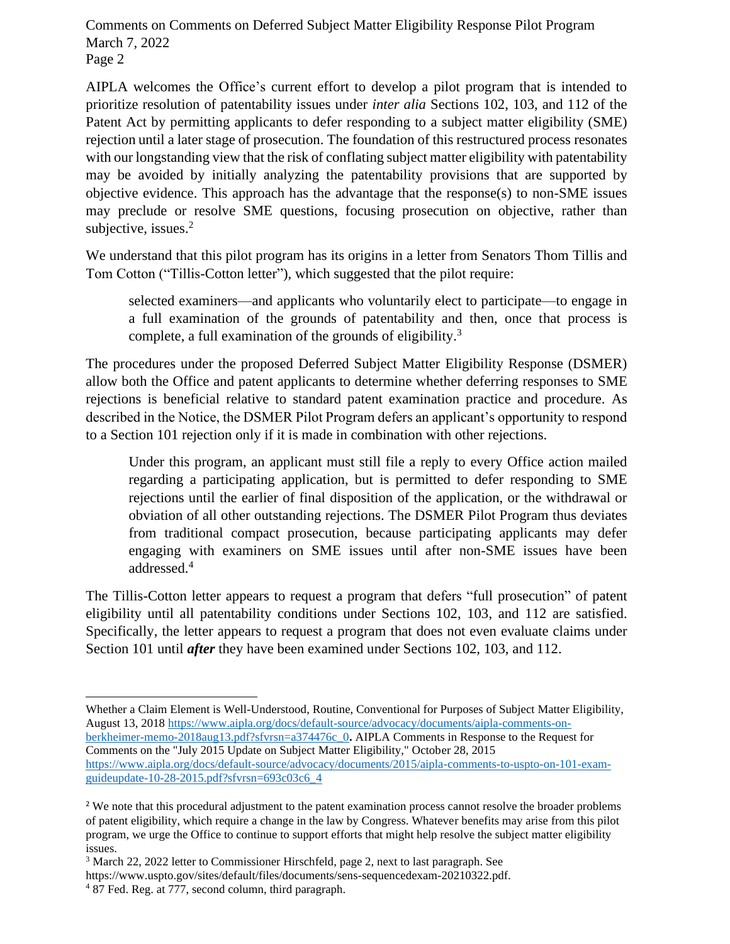Comments on Comments on Deferred Subject Matter Eligibility Response Pilot Program March 7, 2022 Page 2

AIPLA welcomes the Office's current effort to develop a pilot program that is intended to prioritize resolution of patentability issues under *inter alia* Sections 102, 103, and 112 of the Patent Act by permitting applicants to defer responding to a subject matter eligibility (SME) rejection until a later stage of prosecution. The foundation of this restructured process resonates with our longstanding view that the risk of conflating subject matter eligibility with patentability may be avoided by initially analyzing the patentability provisions that are supported by objective evidence. This approach has the advantage that the response(s) to non-SME issues may preclude or resolve SME questions, focusing prosecution on objective, rather than subjective, issues.<sup>2</sup>

We understand that this pilot program has its origins in a letter from Senators Thom Tillis and Tom Cotton ("Tillis-Cotton letter"), which suggested that the pilot require:

selected examiners—and applicants who voluntarily elect to participate—to engage in a full examination of the grounds of patentability and then, once that process is complete, a full examination of the grounds of eligibility.<sup>3</sup>

The procedures under the proposed Deferred Subject Matter Eligibility Response (DSMER) allow both the Office and patent applicants to determine whether deferring responses to SME rejections is beneficial relative to standard patent examination practice and procedure. As described in the Notice, the DSMER Pilot Program defers an applicant's opportunity to respond to a Section 101 rejection only if it is made in combination with other rejections.

Under this program, an applicant must still file a reply to every Office action mailed regarding a participating application, but is permitted to defer responding to SME rejections until the earlier of final disposition of the application, or the withdrawal or obviation of all other outstanding rejections. The DSMER Pilot Program thus deviates from traditional compact prosecution, because participating applicants may defer engaging with examiners on SME issues until after non-SME issues have been addressed.<sup>4</sup>

The Tillis-Cotton letter appears to request a program that defers "full prosecution" of patent eligibility until all patentability conditions under Sections 102, 103, and 112 are satisfied. Specifically, the letter appears to request a program that does not even evaluate claims under Section 101 until *after* they have been examined under Sections 102, 103, and 112.

Whether a Claim Element is Well-Understood, Routine, Conventional for Purposes of Subject Matter Eligibility, August 13, 2018 [https://www.aipla.org/docs/default-source/advocacy/documents/aipla-comments-on](https://www.aipla.org/docs/default-source/advocacy/documents/aipla-comments-on-berkheimer-memo-2018aug13.pdf?sfvrsn=a374476c_0)[berkheimer-memo-2018aug13.pdf?sfvrsn=a374476c\\_0](https://www.aipla.org/docs/default-source/advocacy/documents/aipla-comments-on-berkheimer-memo-2018aug13.pdf?sfvrsn=a374476c_0)**.** AIPLA Comments in Response to the Request for Comments on the "July 2015 Update on Subject Matter Eligibility," October 28, 2015 [https://www.aipla.org/docs/default-source/advocacy/documents/2015/aipla-comments-to-uspto-on-101-exam](https://www.aipla.org/docs/default-source/advocacy/documents/2015/aipla-comments-to-uspto-on-101-exam-guideupdate-10-28-2015.pdf?sfvrsn=693c03c6_4)[guideupdate-10-28-2015.pdf?sfvrsn=693c03c6\\_4](https://www.aipla.org/docs/default-source/advocacy/documents/2015/aipla-comments-to-uspto-on-101-exam-guideupdate-10-28-2015.pdf?sfvrsn=693c03c6_4)

<sup>&</sup>lt;sup>2</sup> We note that this procedural adjustment to the patent examination process cannot resolve the broader problems of patent eligibility, which require a change in the law by Congress. Whatever benefits may arise from this pilot program, we urge the Office to continue to support efforts that might help resolve the subject matter eligibility issues.

<sup>3</sup> March 22, 2022 letter to Commissioner Hirschfeld, page 2, next to last paragraph. See https://www.uspto.gov/sites/default/files/documents/sens-sequencedexam-20210322.pdf. <sup>4</sup> 87 Fed. Reg. at 777, second column, third paragraph.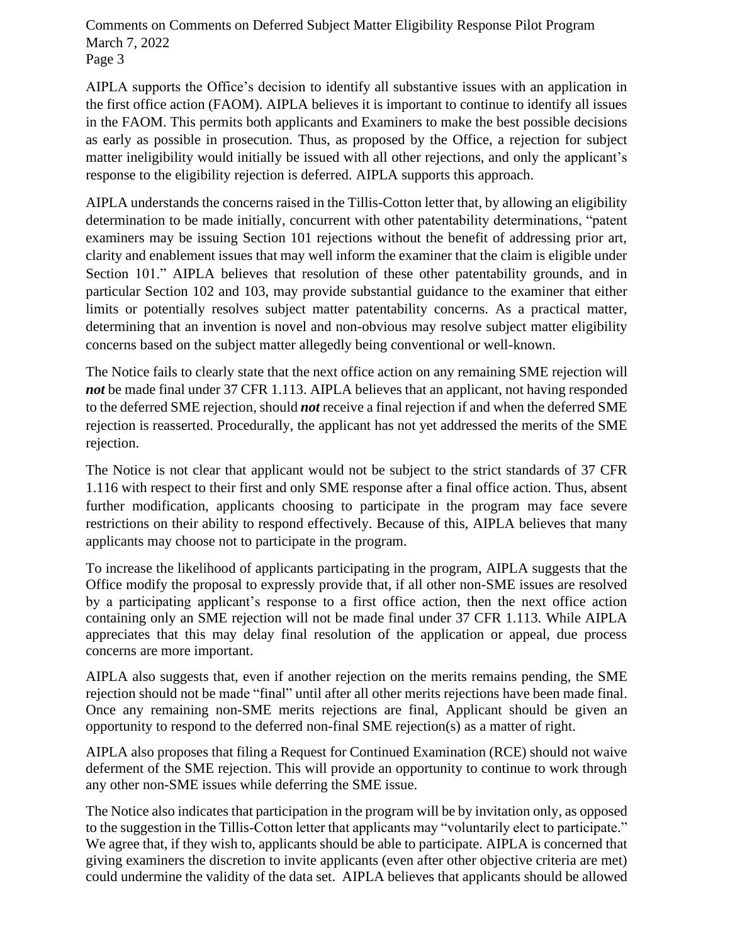Comments on Comments on Deferred Subject Matter Eligibility Response Pilot Program March 7, 2022 Page 3

AIPLA supports the Office's decision to identify all substantive issues with an application in the first office action (FAOM). AIPLA believes it is important to continue to identify all issues in the FAOM. This permits both applicants and Examiners to make the best possible decisions as early as possible in prosecution. Thus, as proposed by the Office, a rejection for subject matter ineligibility would initially be issued with all other rejections, and only the applicant's response to the eligibility rejection is deferred. AIPLA supports this approach.

AIPLA understands the concerns raised in the Tillis-Cotton letter that, by allowing an eligibility determination to be made initially, concurrent with other patentability determinations, "patent examiners may be issuing Section 101 rejections without the benefit of addressing prior art, clarity and enablement issues that may well inform the examiner that the claim is eligible under Section 101." AIPLA believes that resolution of these other patentability grounds, and in particular Section 102 and 103, may provide substantial guidance to the examiner that either limits or potentially resolves subject matter patentability concerns. As a practical matter, determining that an invention is novel and non-obvious may resolve subject matter eligibility concerns based on the subject matter allegedly being conventional or well-known.

The Notice fails to clearly state that the next office action on any remaining SME rejection will not be made final under 37 CFR 1.113. AIPLA believes that an applicant, not having responded to the deferred SME rejection, should *not* receive a final rejection if and when the deferred SME rejection is reasserted. Procedurally, the applicant has not yet addressed the merits of the SME rejection.

The Notice is not clear that applicant would not be subject to the strict standards of 37 CFR 1.116 with respect to their first and only SME response after a final office action. Thus, absent further modification, applicants choosing to participate in the program may face severe restrictions on their ability to respond effectively. Because of this, AIPLA believes that many applicants may choose not to participate in the program.

To increase the likelihood of applicants participating in the program, AIPLA suggests that the Office modify the proposal to expressly provide that, if all other non-SME issues are resolved by a participating applicant's response to a first office action, then the next office action containing only an SME rejection will not be made final under 37 CFR 1.113. While AIPLA appreciates that this may delay final resolution of the application or appeal, due process concerns are more important.

AIPLA also suggests that, even if another rejection on the merits remains pending, the SME rejection should not be made "final" until after all other merits rejections have been made final. Once any remaining non-SME merits rejections are final, Applicant should be given an opportunity to respond to the deferred non-final SME rejection(s) as a matter of right.

AIPLA also proposes that filing a Request for Continued Examination (RCE) should not waive deferment of the SME rejection. This will provide an opportunity to continue to work through any other non-SME issues while deferring the SME issue.

The Notice also indicates that participation in the program will be by invitation only, as opposed to the suggestion in the Tillis-Cotton letter that applicants may "voluntarily elect to participate." We agree that, if they wish to, applicants should be able to participate. AIPLA is concerned that giving examiners the discretion to invite applicants (even after other objective criteria are met) could undermine the validity of the data set. AIPLA believes that applicants should be allowed